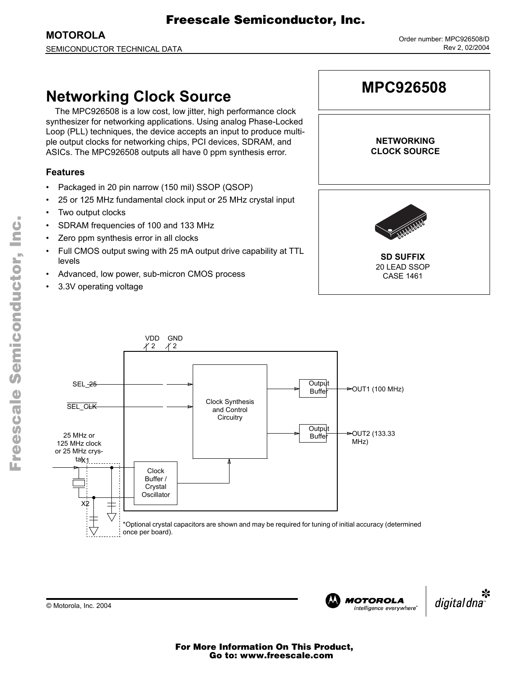Fr $\bf \Phi$ 

# Freescale Semiconductor, Inc.

**MOTOROLA** SEMICONDUCTOR TECHNICAL DATA

## **Networking Clock Source**

The MPC926508 is a low cost, low jitter, high performance clock synthesizer for networking applications. Using analog Phase-Locked Loop (PLL) techniques, the device accepts an input to produce multiple output clocks for networking chips, PCI devices, SDRAM, and ASICs. The MPC926508 outputs all have 0 ppm synthesis error.

#### **Features**

- Packaged in 20 pin narrow (150 mil) SSOP (QSOP)
- 25 or 125 MHz fundamental clock input or 25 MHz crystal input
- Two output clocks
- SDRAM frequencies of 100 and 133 MHz
- Zero ppm synthesis error in all clocks
- Full CMOS output swing with 25 mA output drive capability at TTL levels
- Advanced, low power, sub-micron CMOS process
- 3.3V operating voltage





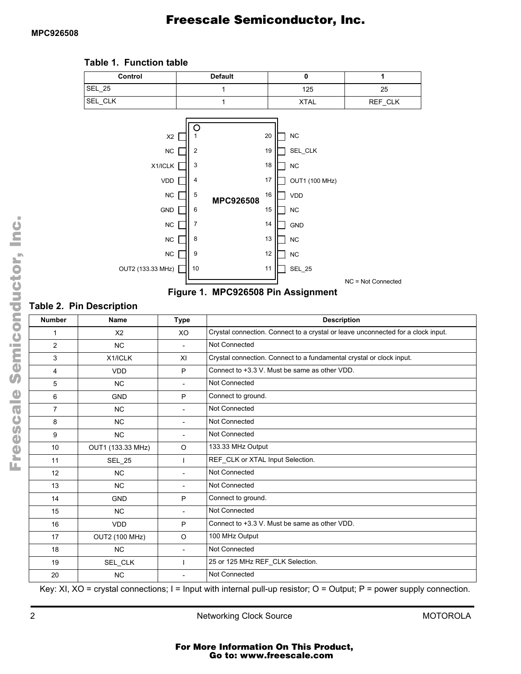

#### **Table 1. Function table**



#### **Table 2. Pin Description**

| <b>Number</b>  | <b>Name</b>           | <b>Type</b>              | <b>Description</b>                                                               |  |  |  |
|----------------|-----------------------|--------------------------|----------------------------------------------------------------------------------|--|--|--|
| 1              | X <sub>2</sub>        | XO                       | Crystal connection. Connect to a crystal or leave unconnected for a clock input. |  |  |  |
| $\overline{2}$ | N <sub>C</sub>        |                          | Not Connected                                                                    |  |  |  |
| 3              | X1/ICLK               | XI                       | Crystal connection. Connect to a fundamental crystal or clock input.             |  |  |  |
| 4              | <b>VDD</b>            | P                        | Connect to +3.3 V. Must be same as other VDD.                                    |  |  |  |
| 5              | <b>NC</b>             |                          | Not Connected                                                                    |  |  |  |
| 6              | <b>GND</b>            | P                        | Connect to ground.                                                               |  |  |  |
| $\overline{7}$ | <b>NC</b>             | $\overline{a}$           | Not Connected                                                                    |  |  |  |
| 8              | <b>NC</b>             | $\overline{\phantom{a}}$ | Not Connected                                                                    |  |  |  |
| 9              | <b>NC</b>             | $\overline{\phantom{a}}$ | Not Connected                                                                    |  |  |  |
| 10             | OUT1 (133.33 MHz)     | O                        | 133.33 MHz Output                                                                |  |  |  |
| 11             | <b>SEL_25</b>         |                          | REF_CLK or XTAL Input Selection.                                                 |  |  |  |
| 12             | <b>NC</b>             |                          | Not Connected                                                                    |  |  |  |
| 13             | <b>NC</b>             | $\overline{a}$           | Not Connected                                                                    |  |  |  |
| 14             | <b>GND</b>            | P                        | Connect to ground.                                                               |  |  |  |
| 15             | <b>NC</b>             |                          | Not Connected                                                                    |  |  |  |
| 16             | <b>VDD</b>            | P                        | Connect to +3.3 V. Must be same as other VDD.                                    |  |  |  |
| 17             | <b>OUT2 (100 MHz)</b> | $\Omega$                 | 100 MHz Output                                                                   |  |  |  |
| 18             | <b>NC</b>             | $\overline{a}$           | Not Connected                                                                    |  |  |  |
| 19             | SEL_CLK               |                          | 25 or 125 MHz REF_CLK Selection.                                                 |  |  |  |
| 20             | <b>NC</b>             |                          | Not Connected                                                                    |  |  |  |

Key: XI,  $XO =$  crystal connections; I = Input with internal pull-up resistor;  $O =$  Output; P = power supply connection.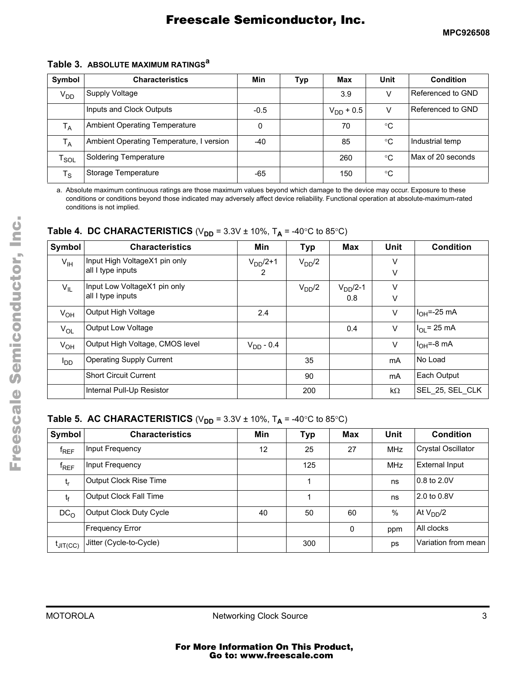#### **Table 3. ABSOLUTE MAXIMUM RATINGS<sup>a</sup>**

| Symbol            | <b>Characteristics</b>                   | Min    | <b>Typ</b> | Max            | Unit        | <b>Condition</b>  |
|-------------------|------------------------------------------|--------|------------|----------------|-------------|-------------------|
| V <sub>DD</sub>   | Supply Voltage                           |        |            | 3.9            | V           | Referenced to GND |
|                   | Inputs and Clock Outputs                 | $-0.5$ |            | $V_{DD}$ + 0.5 | v           | Referenced to GND |
| $T_A$             | <b>Ambient Operating Temperature</b>     | 0      |            | 70             | $^{\circ}C$ |                   |
| $T_A$             | Ambient Operating Temperature, I version | $-40$  |            | 85             | $^{\circ}C$ | Industrial temp   |
| $\sf r_{\sf SOL}$ | Soldering Temperature                    |        |            | 260            | $^{\circ}C$ | Max of 20 seconds |
| $T_{\rm S}$       | Storage Temperature                      | -65    |            | 150            | $^{\circ}C$ |                   |

a. Absolute maximum continuous ratings are those maximum values beyond which damage to the device may occur. Exposure to these conditions or conditions beyond those indicated may adversely affect device reliability. Functional operation at absolute-maximum-rated conditions is not implied.

**Table 4. DC CHARACTERISTICS** ( $V_{DD}$  = 3.3V  $\pm$  10%, T<sub>A</sub> = -40°C to 85°C)

| Symbol          | <b>Characteristics</b>          | Min            | <b>Typ</b> | Max       | Unit      | <b>Condition</b> |
|-----------------|---------------------------------|----------------|------------|-----------|-----------|------------------|
| $V_{\text{IH}}$ | Input High VoltageX1 pin only   | $VDD/2+1$      | $V_{DD}/2$ |           | V         |                  |
|                 | all I type inputs               | 2              |            |           | $\vee$    |                  |
| $V_{IL}$        | Input Low VoltageX1 pin only    |                | $V_{DD}/2$ | $VDD/2-1$ | $\vee$    |                  |
|                 | all I type inputs               |                |            | 0.8       | $\vee$    |                  |
| $V_{OH}$        | Output High Voltage             | 2.4            |            |           | V         | $IOH=-25 mA$     |
| $V_{OL}$        | Output Low Voltage              |                |            | 0.4       | $\vee$    | $IOL = 25 mA$    |
| $V_{OH}$        | Output High Voltage, CMOS level | $V_{DD} - 0.4$ |            |           | $\vee$    | $IOH=-8 mA$      |
| $I_{DD}$        | <b>Operating Supply Current</b> |                | 35         |           | mA        | No Load          |
|                 | <b>Short Circuit Current</b>    |                | 90         |           | mA        | Each Output      |
|                 | Internal Pull-Up Resistor       |                | 200        |           | $k\Omega$ | SEL 25, SEL CLK  |

#### **Table 5. AC CHARACTERISTICS** ( $V_{DD}$  = 3.3V  $\pm$  10%, T<sub>A</sub> = -40°C to 85°C)

| Symbol               | <b>Characteristics</b>        | Min | <b>Typ</b> | Max | <b>Unit</b> | <b>Condition</b>          |
|----------------------|-------------------------------|-----|------------|-----|-------------|---------------------------|
| $f_{REF}$            | Input Frequency               | 12  | 25         | 27  | <b>MHz</b>  | <b>Crystal Oscillator</b> |
| $f_{REF}$            | Input Frequency               |     | 125        |     | <b>MHz</b>  | <b>External Input</b>     |
| $t_{r}$              | <b>Output Clock Rise Time</b> |     |            |     | ns          | 0.8 to 2.0V               |
| $t_{\rm f}$          | Output Clock Fall Time        |     |            |     | ns          | 2.0 to 0.8V               |
| DC <sub>O</sub>      | Output Clock Duty Cycle       | 40  | 50         | 60  | $\%$        | At $V_{DD}/2$             |
|                      | <b>Frequency Error</b>        |     |            | 0   | ppm         | All clocks                |
| $t_{\text{JIT(CC)}}$ | Jitter (Cycle-to-Cycle)       |     | 300        |     | ps          | Variation from mean       |

F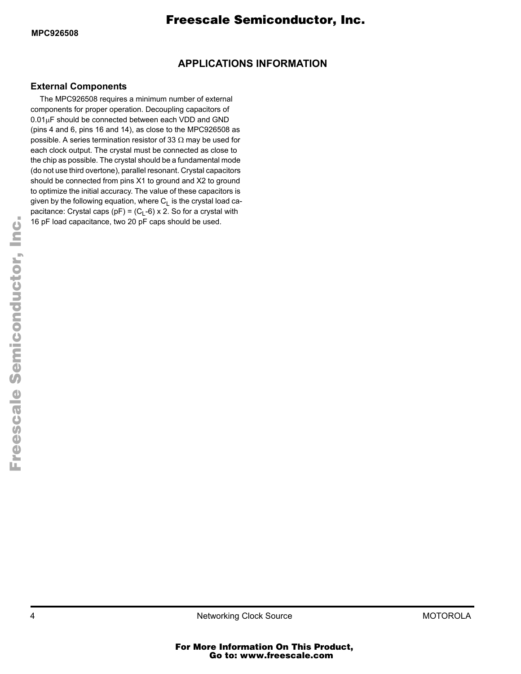### **APPLICATIONS INFORMATION**

#### **External Components**

The MPC926508 requires a minimum number of external components for proper operation. Decoupling capacitors of  $0.01\mu$ F should be connected between each VDD and GND (pins 4 and 6, pins 16 and 14), as close to the MPC926508 as possible. A series termination resistor of 33  $\Omega$  may be used for each clock output. The crystal must be connected as close to the chip as possible. The crystal should be a fundamental mode (do not use third overtone), parallel resonant. Crystal capacitors should be connected from pins X1 to ground and X2 to ground to optimize the initial accuracy. The value of these capacitors is given by the following equation, where  $C_L$  is the crystal load capacitance: Crystal caps (pF) =  $(C_L-6)$  x 2. So for a crystal with 16 pF load capacitance, two 20 pF caps should be used.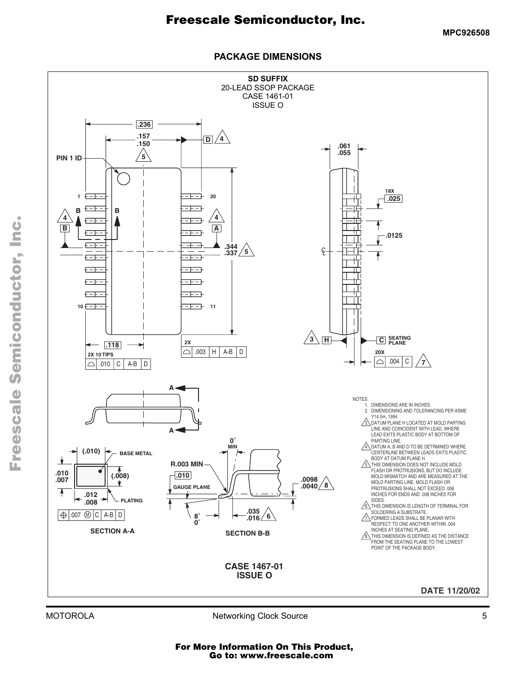**MPC926508**

#### **PACKAGE DIMENSIONS**

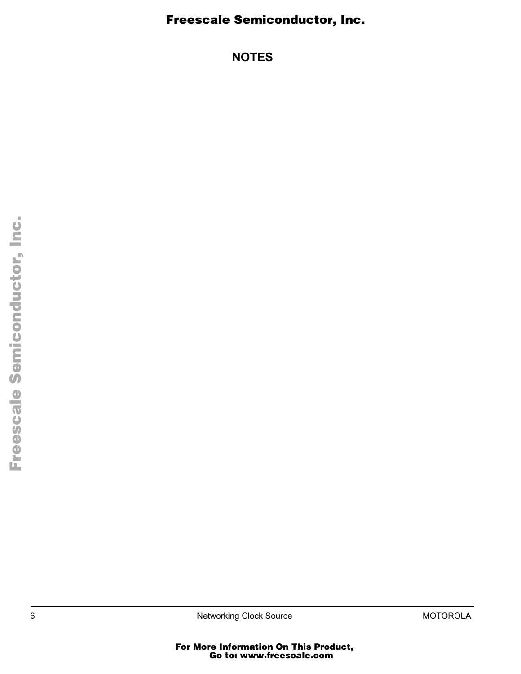### Freescale Semiconductor, Inc.

**NOTES**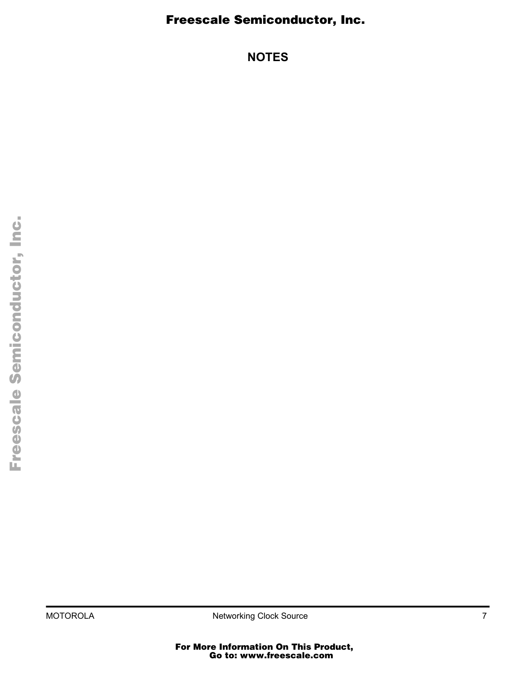### Freescale Semiconductor, Inc.

**NOTES**